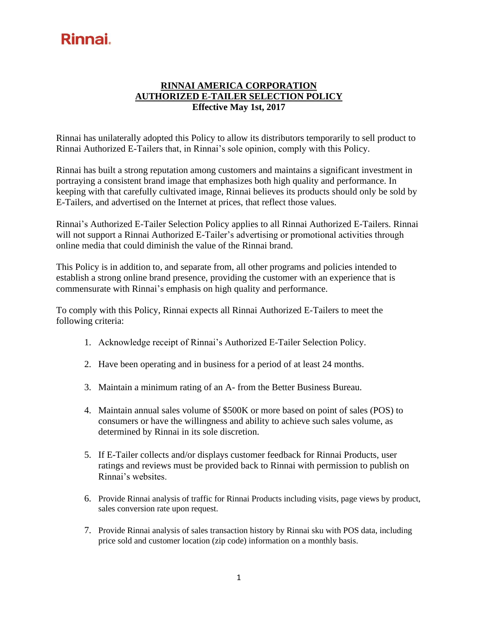## **RINNAI AMERICA CORPORATION AUTHORIZED E-TAILER SELECTION POLICY Effective May 1st, 2017**

Rinnai has unilaterally adopted this Policy to allow its distributors temporarily to sell product to Rinnai Authorized E-Tailers that, in Rinnai's sole opinion, comply with this Policy.

Rinnai has built a strong reputation among customers and maintains a significant investment in portraying a consistent brand image that emphasizes both high quality and performance. In keeping with that carefully cultivated image, Rinnai believes its products should only be sold by E-Tailers, and advertised on the Internet at prices, that reflect those values.

Rinnai's Authorized E-Tailer Selection Policy applies to all Rinnai Authorized E-Tailers. Rinnai will not support a Rinnai Authorized E-Tailer's advertising or promotional activities through online media that could diminish the value of the Rinnai brand.

This Policy is in addition to, and separate from, all other programs and policies intended to establish a strong online brand presence, providing the customer with an experience that is commensurate with Rinnai's emphasis on high quality and performance.

To comply with this Policy, Rinnai expects all Rinnai Authorized E-Tailers to meet the following criteria:

- 1. Acknowledge receipt of Rinnai's Authorized E-Tailer Selection Policy.
- 2. Have been operating and in business for a period of at least 24 months.
- 3. Maintain a minimum rating of an A- from the Better Business Bureau.
- 4. Maintain annual sales volume of \$500K or more based on point of sales (POS) to consumers or have the willingness and ability to achieve such sales volume, as determined by Rinnai in its sole discretion.
- 5. If E-Tailer collects and/or displays customer feedback for Rinnai Products, user ratings and reviews must be provided back to Rinnai with permission to publish on Rinnai's websites.
- 6. Provide Rinnai analysis of traffic for Rinnai Products including visits, page views by product, sales conversion rate upon request.
- 7. Provide Rinnai analysis of sales transaction history by Rinnai sku with POS data, including price sold and customer location (zip code) information on a monthly basis.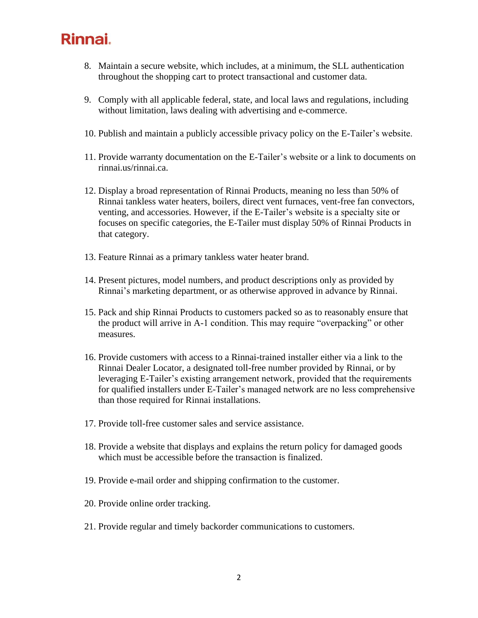- 8. Maintain a secure website, which includes, at a minimum, the SLL authentication throughout the shopping cart to protect transactional and customer data.
- 9. Comply with all applicable federal, state, and local laws and regulations, including without limitation, laws dealing with advertising and e-commerce.
- 10. Publish and maintain a publicly accessible privacy policy on the E-Tailer's website.
- 11. Provide warranty documentation on the E-Tailer's website or a link to documents on rinnai.us/rinnai.ca.
- 12. Display a broad representation of Rinnai Products, meaning no less than 50% of Rinnai tankless water heaters, boilers, direct vent furnaces, vent-free fan convectors, venting, and accessories. However, if the E-Tailer's website is a specialty site or focuses on specific categories, the E-Tailer must display 50% of Rinnai Products in that category.
- 13. Feature Rinnai as a primary tankless water heater brand.
- 14. Present pictures, model numbers, and product descriptions only as provided by Rinnai's marketing department, or as otherwise approved in advance by Rinnai.
- 15. Pack and ship Rinnai Products to customers packed so as to reasonably ensure that the product will arrive in A-1 condition. This may require "overpacking" or other measures.
- 16. Provide customers with access to a Rinnai-trained installer either via a link to the Rinnai Dealer Locator, a designated toll-free number provided by Rinnai, or by leveraging E-Tailer's existing arrangement network, provided that the requirements for qualified installers under E-Tailer's managed network are no less comprehensive than those required for Rinnai installations.
- 17. Provide toll-free customer sales and service assistance.
- 18. Provide a website that displays and explains the return policy for damaged goods which must be accessible before the transaction is finalized.
- 19. Provide e-mail order and shipping confirmation to the customer.
- 20. Provide online order tracking.
- 21. Provide regular and timely backorder communications to customers.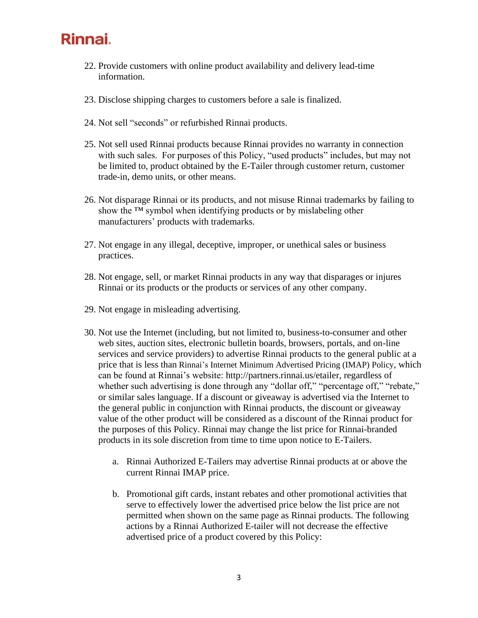- 22. Provide customers with online product availability and delivery lead-time information.
- 23. Disclose shipping charges to customers before a sale is finalized.
- 24. Not sell "seconds" or refurbished Rinnai products.
- 25. Not sell used Rinnai products because Rinnai provides no warranty in connection with such sales. For purposes of this Policy, "used products" includes, but may not be limited to, product obtained by the E-Tailer through customer return, customer trade-in, demo units, or other means.
- 26. Not disparage Rinnai or its products, and not misuse Rinnai trademarks by failing to show the <sup>™</sup> symbol when identifying products or by mislabeling other manufacturers' products with trademarks.
- 27. Not engage in any illegal, deceptive, improper, or unethical sales or business practices.
- 28. Not engage, sell, or market Rinnai products in any way that disparages or injures Rinnai or its products or the products or services of any other company.
- 29. Not engage in misleading advertising.
- 30. Not use the Internet (including, but not limited to, business-to-consumer and other web sites, auction sites, electronic bulletin boards, browsers, portals, and on-line services and service providers) to advertise Rinnai products to the general public at a price that is less than Rinnai's Internet Minimum Advertised Pricing (IMAP) Policy, which can be found at Rinnai's website: [http://partners.rinnai.us/etailer,](http://partners.rinnai.us/etailer) regardless of whether such advertising is done through any "dollar off," "percentage off," "rebate," or similar sales language. If a discount or giveaway is advertised via the Internet to the general public in conjunction with Rinnai products, the discount or giveaway value of the other product will be considered as a discount of the Rinnai product for the purposes of this Policy. Rinnai may change the list price for Rinnai-branded products in its sole discretion from time to time upon notice to E-Tailers.
	- a. Rinnai Authorized E-Tailers may advertise Rinnai products at or above the current Rinnai IMAP price.
	- b. Promotional gift cards, instant rebates and other promotional activities that serve to effectively lower the advertised price below the list price are not permitted when shown on the same page as Rinnai products. The following actions by a Rinnai Authorized E-tailer will not decrease the effective advertised price of a product covered by this Policy: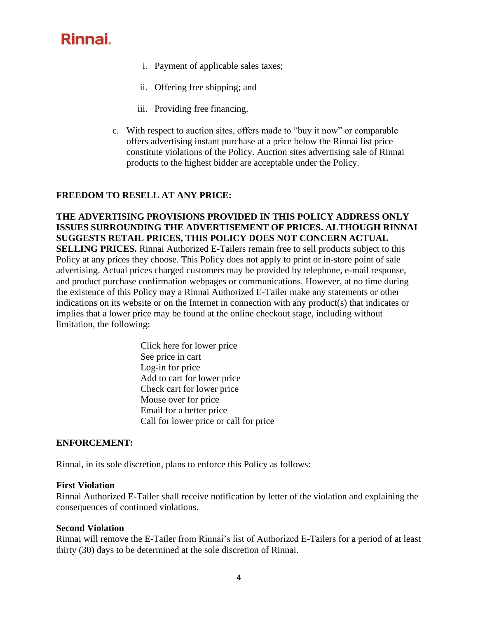- i. Payment of applicable sales taxes;
- ii. Offering free shipping; and
- iii. Providing free financing.
- c. With respect to auction sites, offers made to "buy it now" or comparable offers advertising instant purchase at a price below the Rinnai list price constitute violations of the Policy. Auction sites advertising sale of Rinnai products to the highest bidder are acceptable under the Policy.

## **FREEDOM TO RESELL AT ANY PRICE:**

**THE ADVERTISING PROVISIONS PROVIDED IN THIS POLICY ADDRESS ONLY ISSUES SURROUNDING THE ADVERTISEMENT OF PRICES. ALTHOUGH RINNAI SUGGESTS RETAIL PRICES, THIS POLICY DOES NOT CONCERN ACTUAL SELLING PRICES.** Rinnai Authorized E-Tailers remain free to sell products subject to this Policy at any prices they choose. This Policy does not apply to print or in-store point of sale advertising. Actual prices charged customers may be provided by telephone, e-mail response, and product purchase confirmation webpages or communications. However, at no time during the existence of this Policy may a Rinnai Authorized E-Tailer make any statements or other indications on its website or on the Internet in connection with any product(s) that indicates or implies that a lower price may be found at the online checkout stage, including without limitation, the following:

> Click here for lower price See price in cart Log-in for price Add to cart for lower price Check cart for lower price Mouse over for price Email for a better price Call for lower price or call for price

### **ENFORCEMENT:**

Rinnai, in its sole discretion, plans to enforce this Policy as follows:

#### **First Violation**

Rinnai Authorized E-Tailer shall receive notification by letter of the violation and explaining the consequences of continued violations.

#### **Second Violation**

Rinnai will remove the E-Tailer from Rinnai's list of Authorized E-Tailers for a period of at least thirty (30) days to be determined at the sole discretion of Rinnai.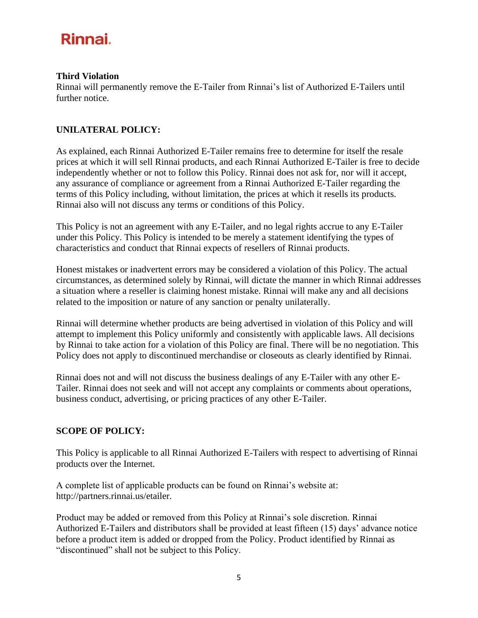#### **Third Violation**

Rinnai will permanently remove the E-Tailer from Rinnai's list of Authorized E-Tailers until further notice.

## **UNILATERAL POLICY:**

As explained, each Rinnai Authorized E-Tailer remains free to determine for itself the resale prices at which it will sell Rinnai products, and each Rinnai Authorized E-Tailer is free to decide independently whether or not to follow this Policy. Rinnai does not ask for, nor will it accept, any assurance of compliance or agreement from a Rinnai Authorized E-Tailer regarding the terms of this Policy including, without limitation, the prices at which it resells its products. Rinnai also will not discuss any terms or conditions of this Policy.

This Policy is not an agreement with any E-Tailer, and no legal rights accrue to any E-Tailer under this Policy. This Policy is intended to be merely a statement identifying the types of characteristics and conduct that Rinnai expects of resellers of Rinnai products.

Honest mistakes or inadvertent errors may be considered a violation of this Policy. The actual circumstances, as determined solely by Rinnai, will dictate the manner in which Rinnai addresses a situation where a reseller is claiming honest mistake. Rinnai will make any and all decisions related to the imposition or nature of any sanction or penalty unilaterally.

Rinnai will determine whether products are being advertised in violation of this Policy and will attempt to implement this Policy uniformly and consistently with applicable laws. All decisions by Rinnai to take action for a violation of this Policy are final. There will be no negotiation. This Policy does not apply to discontinued merchandise or closeouts as clearly identified by Rinnai.

Rinnai does not and will not discuss the business dealings of any E-Tailer with any other E-Tailer. Rinnai does not seek and will not accept any complaints or comments about operations, business conduct, advertising, or pricing practices of any other E-Tailer.

### **SCOPE OF POLICY:**

This Policy is applicable to all Rinnai Authorized E-Tailers with respect to advertising of Rinnai products over the Internet.

A complete list of applicable products can be found on Rinnai's website at: [http://partners.rinnai.us/etailer.](http://partners.rinnai.us/etailer)

Product may be added or removed from this Policy at Rinnai's sole discretion. Rinnai Authorized E-Tailers and distributors shall be provided at least fifteen (15) days' advance notice before a product item is added or dropped from the Policy. Product identified by Rinnai as "discontinued" shall not be subject to this Policy.